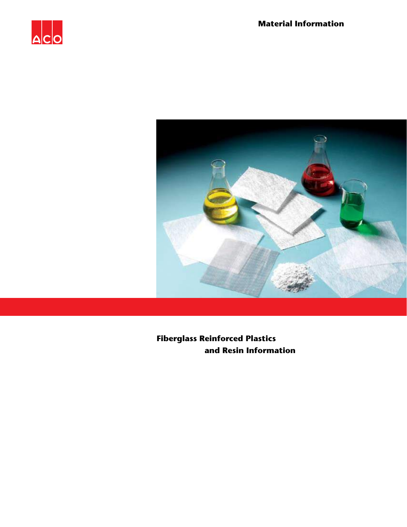



**Fiberglass Reinforced Plastics and Resin Information**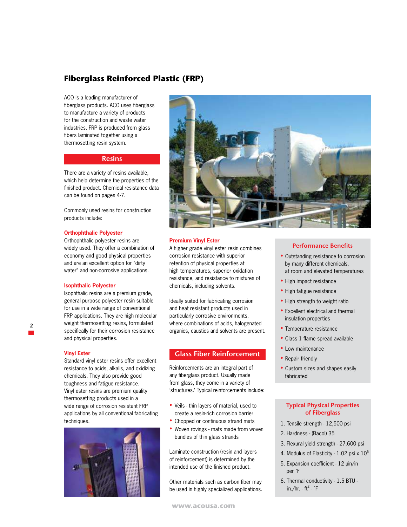# **Fiberglass Reinforced Plastic (FRP)**

ACO is a leading manufacturer of fiberglass products. ACO uses fiberglass to manufacture a variety of products for the construction and waste water industries. FRP is produced from glass fibers laminated together using a thermosetting resin system.

# **Resins**

There are a variety of resins available, which help determine the properties of the finished product. Chemical resistance data can be found on pages 4-7.

Commonly used resins for construction products include:

#### **Orthophthalic Polyester**

Orthophthalic polyester resins are widely used. They offer a combination of economy and good physical properties and are an excellent option for "dirty water" and non-corrosive applications.

## **Isophthalic Polyester**

Isophthalic resins are a premium grade, general purpose polyester resin suitable for use in a wide range of conventional FRP applications. They are high molecular weight thermosetting resins, formulated specifically for their corrosion resistance and physical properties.

#### **Vinyl Ester**

Standard vinyl ester resins offer excellent resistance to acids, alkalis, and oxidizing chemicals. They also provide good toughness and fatigue resistance. Vinyl ester resins are premium quality thermosetting products used in a wide range of corrosion resistant FRP applications by all conventional fabricating techniques.





# **Premium Vinyl Ester**

A higher grade vinyl ester resin combines corrosion resistance with superior retention of physical properties at high temperatures, superior oxidation resistance, and resistance to mixtures of chemicals, including solvents.

Ideally suited for fabricating corrosion and heat resistant products used in particularly corrosive environments, where combinations of acids, halogenated organics, caustics and solvents are present.

# **Glass Fiber Reinforcement**

Reinforcements are an integral part of any fiberglass product. Usually made from glass, they come in a variety of 'structures.' Typical reinforcements include:

- Veils thin layers of material, used to create a resin-rich corrosion barrier
- Chopped or continuous strand mats
- Woven rovings mats made from woven bundles of thin glass strands

Laminate construction (resin and layers of reinforcement) is determined by the intended use of the finished product.

Other materials such as carbon fiber may be used in highly specialized applications.

## **Performance Benefits**

- Outstanding resistance to corrosion by many different chemicals, at room and elevated temperatures
- High impact resistance
- High fatigue resistance
- High strength to weight ratio
- Excellent electrical and thermal insulation properties
- Temperature resistance
- Class 1 flame spread available
- Low maintenance
- Repair friendly
- Custom sizes and shapes easily fabricated

# **Typical Physical Properties of Fiberglass**

- 1. Tensile strength 12,500 psi
- 2. Hardness (Bacol) 35
- 3. Flexural yield strength 27,600 psi
- 4. Modulus of Elasticity 1.02 psi x 10<sup>6</sup>
- 5. Expansion coefficient 12 µin/in per ˚F
- 6. Thermal conductivity 1.5 BTU in./hr. - ft $^2$  -  $\degree$ F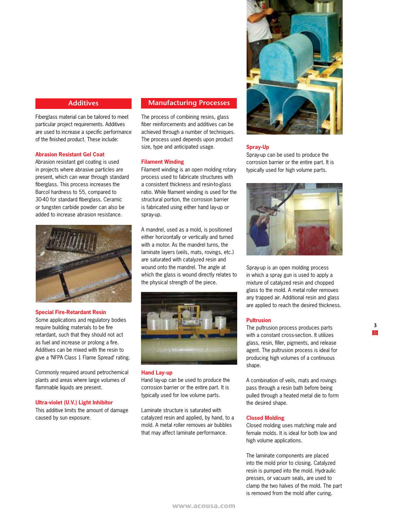# **Additives**

Fiberglass material can be tailored to meet particular project requirements. Additives are used to increase a specific performance of the finished product. These include:

# **Abrasion Resistant Gel Coat**

Abrasion resistant gel coating is used in projects where abrasive particles are present, which can wear through standard fiberglass. This process increases the Barcol hardness to 55, compared to 30-40 for standard fiberglass. Ceramic or tungsten carbide powder can also be added to increase abrasion resistance.



#### **Special Fire-Retardant Resin**

Some applications and regulatory bodies require building materials to be fire retardant, such that they should not act as fuel and increase or prolong a fire. Additives can be mixed with the resin to give a 'NFPA Class 1 Flame Spread' rating.

Commonly required around petrochemical plants and areas where large volumes of flammable liquids are present.

## **Ultra-violet (U.V.) Light Inhibitor**

This additive limits the amount of damage caused by sun exposure.

# **Manufacturing Processes**

The process of combining resins, glass fiber reinforcements and additives can be achieved through a number of techniques. The process used depends upon product size, type and anticipated usage.

## **Filament Winding**

Filament winding is an open molding rotary process used to fabricate structures with a consistent thickness and resin-to-glass ratio. While filament winding is used for the structural portion, the corrosion barrier is fabricated using either hand lay-up or spray-up.

A mandrel, used as a mold, is positioned either horizontally or vertically and turned with a motor. As the mandrel turns, the laminate layers (veils, mats, rovings, etc.) are saturated with catalyzed resin and wound onto the mandrel. The angle at which the glass is wound directly relates to the physical strength of the piece.



## **Hand Lay-up**

Hand lay-up can be used to produce the corrosion barrier or the entire part. It is typically used for low volume parts.

Laminate structure is saturated with catalyzed resin and applied, by hand, to a mold. A metal roller removes air bubbles that may affect laminate performance.



#### **Spray-Up**

Spray-up can be used to produce the corrosion barrier or the entire part. It is typically used for high volume parts.



Spray-up is an open molding process in which a spray gun is used to apply a mixture of catalyzed resin and chopped glass to the mold. A metal roller removes any trapped air. Additional resin and glass are applied to reach the desired thickness.

#### **Pultrusion**

The pultrusion process produces parts with a constant cross-section. It utilizes glass, resin, filler, pigments, and release agent. The pultrusion process is ideal for producing high volumes of a continuous shape.

A combination of veils, mats and rovings pass through a resin bath before being pulled through a heated metal die to form the desired shape.

# **Closed Molding**

Closed molding uses matching male and female molds. It is ideal for both low and high volume applications.

The laminate components are placed into the mold prior to closing. Catalyzed resin is pumped into the mold. Hydraulic presses, or vacuum seals, are used to clamp the two halves of the mold. The part is removed from the mold after curing.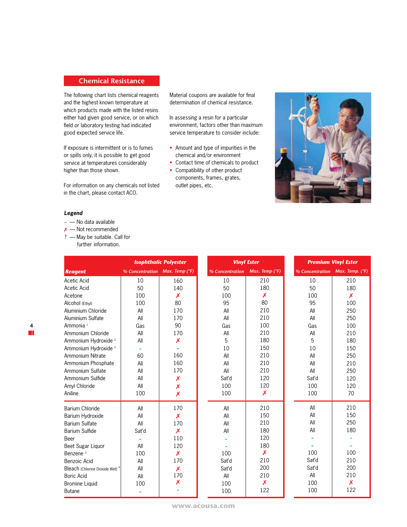# **Chemical Resistance**

The following chart lists chemical reagents and the highest known temperature at which products made with the listed resins either had given good service, or on which field or laboratory testing had indicated good expected service life.

If exposure is intermittent or is to fumes or spills only, it is possible to get good service at temperatures considerably higher than those shown.

For information on any chemicals not listed in the chart, please contact ACO.

Material coupons are available for final determination of chemical resistance.

In assessing a resin for a particular environment, factors other than maximum service temperature to consider include:

- Amount and type of impurities in the chemical and/or environment
- Contact time of chemicals to product
- Compatibility of other product components, frames, grates, outlet pipes, etc.



# *Legend*

- **~** No data available
- ✗ Not recommended
- ? May be suitable. Call for further information.

| <b>Isophthalic Polyester</b>               |                                |     | <b>Vinyl Ester</b> |     |
|--------------------------------------------|--------------------------------|-----|--------------------|-----|
| <b>Reagent</b>                             | % Concentration Max. Temp (°F) |     | % Concentration    |     |
| Acetic Acid                                | 10                             | 160 | 10                 |     |
| Acetic Acid                                | 50                             | 140 | 50                 |     |
| Acetone                                    | 100                            | X   | 100                |     |
| Alcohol (Ethyl)                            | 100                            | 80  | 95                 |     |
| Aluminium Chloride                         | All                            | 170 | All                |     |
| Aluminium Sulfate                          | All                            | 170 | All                |     |
| Ammonia <sup>1</sup>                       | Gas                            | 90  | Gas                |     |
| Ammonium Chloride                          | All                            | 170 | All                |     |
| Ammonium Hydroxide <sup>2</sup>            | All                            | X   | 5                  |     |
| Ammonium Hydroxide <sup>2</sup>            | $\tilde{\phantom{a}}$          | ٠   | 10                 |     |
| Ammonium Nitrate                           | 60                             | 160 | All                |     |
| Ammonium Phosphate                         | All                            | 160 | All                |     |
| Ammonium Sulfate                           | All                            | 170 | All                |     |
| Ammonium Sulfide                           | All                            | Х   | Sat'd              |     |
| Amyl Chloride                              | All                            | X   | 100                |     |
| Aniline                                    | 100                            | X   | 100                |     |
| Barium Chloride                            | All                            | 170 | All                |     |
| Barium Hydroxide                           | All                            | X   | All                |     |
| <b>Barium Sulfate</b>                      | All                            | 170 | All                |     |
| Barium Sulfide                             | Sat'd                          | X   | All                | 180 |
| Beer                                       | $\tilde{\phantom{a}}$          | 110 |                    | 120 |
| Beet Sugar Liquor                          | All                            | 120 |                    | 180 |
| Benzene <sup>3</sup>                       | 100                            | X   | 100                | X   |
| Benzoic Acid                               | All                            | 170 | Sat'd              | 210 |
| Bleach (Chlorine Dioxide Wet) <sup>4</sup> | All                            | X   | Sat'd              | 200 |
| Boric Acid                                 | All                            | 170 | All                | 210 |
| <b>Bromine Liquid</b>                      | 100                            | Х   | 100                | X   |
| <b>Butane</b>                              | $\tilde{ }$                    |     | 100                | 122 |

**4**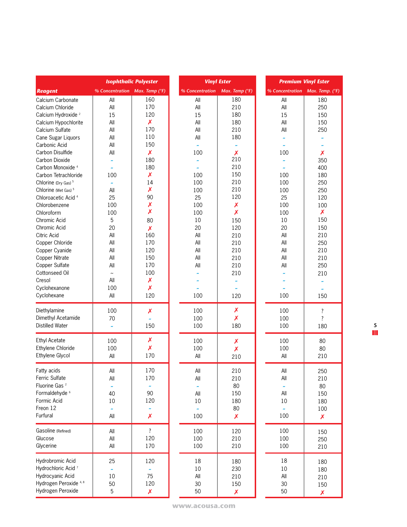|                                 | <b>Isophthalic Polyester</b>   |                           | <b>Vinyl Ester</b>    |                           |                       | <b>Premium Vinyl Ester</b> |  |
|---------------------------------|--------------------------------|---------------------------|-----------------------|---------------------------|-----------------------|----------------------------|--|
| <b>Reagent</b>                  | % Concentration Max. Temp (°F) |                           | % Concentration       | Max. Temp (°F)            | % Concentration       | Max. Temp. (°F)            |  |
| Calcium Carbonate               | All                            | 160                       | All                   | 180                       | All                   | 180                        |  |
| Calcium Chloride                | All                            | 170                       | All                   | 210                       | All                   | 250                        |  |
| Calcium Hydroxide <sup>2</sup>  | 15                             | 120                       | 15                    | 180                       | 15                    | 150                        |  |
| Calcium Hypochlorite            | All                            | X                         | All                   | 180                       | All                   | 150                        |  |
| Calcium Sulfate                 | All                            | 170                       | All                   | 210                       | All                   | 250                        |  |
| Cane Sugar Liquors              | All                            | 110                       | All                   | 180                       |                       |                            |  |
| Carbonic Acid                   | All                            | 150                       |                       | $\tilde{\phantom{a}}$     |                       |                            |  |
| Carbon Disulfide                | All                            | $\pmb{\mathsf{x}}$        | 100                   | $\boldsymbol{\mathsf{x}}$ | 100                   | Х                          |  |
| Carbon Dioxide                  |                                | 180                       |                       | 210                       |                       | 350                        |  |
| Carbon Monoxide <sup>4</sup>    | $\tilde{\phantom{a}}$          | 180                       |                       | 210                       |                       | 400                        |  |
| Carbon Tetrachloride            | 100                            | X                         | 100                   | 150                       | 100                   | 180                        |  |
| Chlorine (Dry Gas) <sup>5</sup> |                                | 14                        | 100                   | 210                       | 100                   | 250                        |  |
| Chlorine (Wet Gas) <sup>5</sup> | All                            | X                         | 100                   | 210                       | 100                   | 250                        |  |
| Chloroacetic Acid <sup>4</sup>  | 25                             | 90                        | 25                    | 120                       | 25                    | 120                        |  |
| Chlorobenzene                   | 100                            | $\boldsymbol{\mathsf{x}}$ | 100                   | $\boldsymbol{\mathsf{x}}$ | 100                   | 100                        |  |
| Chloroform                      | 100                            | X                         | 100                   | $\boldsymbol{\mathsf{x}}$ | 100                   | X                          |  |
| Chromic Acid                    | 5                              | 80                        | 10                    | 150                       | 10                    | 150                        |  |
| Chromic Acid                    | 20                             | $\boldsymbol{x}$          | 20                    | 120                       | 20                    | 150                        |  |
| Citric Acid                     | All                            | 160                       | All                   | 210                       | All                   | 210                        |  |
| Copper Chloride                 | All                            | 170                       | All                   | 210                       | All                   | 250                        |  |
| Copper Cyanide                  | All                            | 120                       | All                   | 210                       | All                   | 210                        |  |
| Copper Nitrate                  | All                            | 150                       | All                   | 210                       | All                   | 210                        |  |
| Copper Sulfate                  | All                            | 170                       | All                   | 210                       | All                   | 250                        |  |
| Cottonseed Oil                  | $\tilde{\phantom{a}}$          | 100                       |                       | 210                       |                       | 210                        |  |
| Cresol                          | All                            | X                         |                       | $\tilde{\phantom{a}}$     |                       |                            |  |
| Cyclohexanone                   | 100                            | X                         |                       | $\tilde{\phantom{a}}$     |                       | $\tilde{\phantom{a}}$      |  |
| Cyclohexane                     | All                            | 120                       | 100                   | 120                       | 100                   | 150                        |  |
|                                 |                                |                           |                       |                           |                       |                            |  |
| Diethylamine                    | 100                            | Х                         | 100                   | $\pmb{\mathsf{X}}$        | 100                   | ?                          |  |
| Dimethyl Acetamide              | 70                             |                           | 100                   | X                         | 100                   | $\overline{\cdot}$         |  |
| <b>Distilled Water</b>          | $\tilde{\phantom{a}}$          | 150                       | 100                   | 180                       | 100                   | 180                        |  |
| <b>Ethyl Acetate</b>            | 100                            | X                         | 100                   | $\pmb{\mathsf{X}}$        | 100                   | 80                         |  |
| Ethylene Chloride               | 100                            | $\boldsymbol{\mathsf{x}}$ | 100                   | $\boldsymbol{\mathsf{x}}$ | 100                   | 80                         |  |
| Ethylene Glycol                 | All                            | 170                       | All                   | 210                       | All                   | 210                        |  |
| Fatty acids                     | All                            | 170                       | All                   | 210                       | All                   | 250                        |  |
| Ferric Sulfate                  | All                            | 170                       | All                   | 210                       | All                   | 210                        |  |
| Fluorine Gas <sup>2</sup>       |                                |                           |                       | 80                        |                       | 80                         |  |
| Formaldehyde <sup>6</sup>       | 40                             | 90                        | All                   | 150                       | All                   | 150                        |  |
| Formic Acid                     | 10                             | 120                       | $10\,$                | 180                       | 10                    | 180                        |  |
| Freon 12                        | $\tilde{\phantom{a}}$          | ÷                         | $\tilde{\phantom{a}}$ | 80                        | $\tilde{\phantom{a}}$ | 100                        |  |
| Furfural                        | All                            | Х                         | 100                   | $\pmb{\mathsf{X}}$        | 100                   | $\pmb{\mathsf{X}}$         |  |
|                                 |                                |                           |                       |                           |                       |                            |  |
| Gasoline (Refined)              | All                            | ?                         | 100                   | 120                       | 100                   | 150                        |  |
| Glucose                         | All                            | 120                       | 100                   | 210                       | 100                   | 250                        |  |
| Glycerine                       | All                            | 170                       | 100                   | 210                       | 100                   | 210                        |  |
| Hydrobromic Acid                | 25                             | 120                       | 18                    | 180                       | 18                    | 180                        |  |
| Hydrochloric Acid <sup>7</sup>  |                                | $\tilde{\phantom{a}}$     | 10                    | 230                       | 10                    | 180                        |  |
| Hydrocyanic Acid                | 10                             | 75                        | All                   | 210                       | All                   | 210                        |  |
| Hydrogen Peroxide 4, 8          | 50                             | 120                       | 30                    | 150                       | 30                    | 150                        |  |
| Hydrogen Peroxide               | 5                              | $\pmb{\mathsf{X}}$        | 50                    | $\boldsymbol{x}$          | 50                    | X                          |  |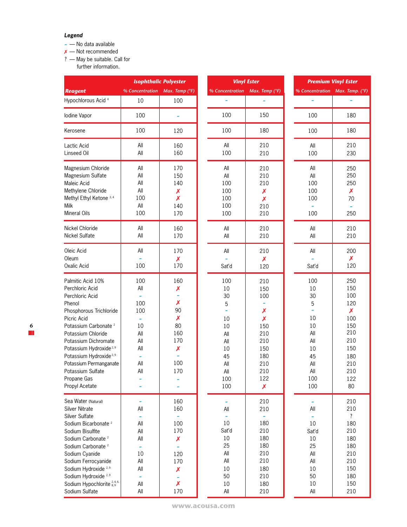# *Legend*

- **~** No data available
- ✗ Not recommended
- ? May be suitable. Call for
	- further information.

|                                                                                                                                                                                                                                                                                                                                                                   | <b>Isophthalic Polyester</b>                                                                                 |                                                                                          |                                                                                                | <b>Vinyl Ester</b>                                                                                                                 |                                                                                                       | <b>Premium Vinyl Ester</b>                                                                                          |  |
|-------------------------------------------------------------------------------------------------------------------------------------------------------------------------------------------------------------------------------------------------------------------------------------------------------------------------------------------------------------------|--------------------------------------------------------------------------------------------------------------|------------------------------------------------------------------------------------------|------------------------------------------------------------------------------------------------|------------------------------------------------------------------------------------------------------------------------------------|-------------------------------------------------------------------------------------------------------|---------------------------------------------------------------------------------------------------------------------|--|
| <b>Reagent</b>                                                                                                                                                                                                                                                                                                                                                    | % Concentration Max. Temp (°F)                                                                               |                                                                                          | % Concentration                                                                                | Max. Temp (°F)                                                                                                                     | % Concentration Max. Temp. (°F)                                                                       |                                                                                                                     |  |
| Hypochlorous Acid <sup>4</sup>                                                                                                                                                                                                                                                                                                                                    | 10                                                                                                           | 100                                                                                      | J.                                                                                             | ×,                                                                                                                                 | $\ddot{\phantom{1}}$                                                                                  |                                                                                                                     |  |
| lodine Vapor                                                                                                                                                                                                                                                                                                                                                      | 100                                                                                                          |                                                                                          | 100                                                                                            | 150                                                                                                                                | 100                                                                                                   | 180                                                                                                                 |  |
| Kerosene                                                                                                                                                                                                                                                                                                                                                          | 100                                                                                                          | 120                                                                                      | 100                                                                                            | 180                                                                                                                                | 100                                                                                                   | 180                                                                                                                 |  |
| Lactic Acid<br>Linseed Oil                                                                                                                                                                                                                                                                                                                                        | All<br>All                                                                                                   | 160<br>160                                                                               | All<br>100                                                                                     | 210<br>210                                                                                                                         | All<br>100                                                                                            | 210<br>230                                                                                                          |  |
| Magnesium Chloride<br>Magnesium Sulfate<br><b>Maleic Acid</b><br>Methylene Chloride<br>Methyl Ethyl Ketone <sup>3, 4</sup><br>Milk<br>Mineral Oils                                                                                                                                                                                                                | All<br>All<br>All<br>All<br>100<br>All<br>100                                                                | 170<br>150<br>140<br>Х<br>X<br>140<br>170                                                | All<br>All<br>100<br>100<br>100<br>100<br>100                                                  | 210<br>210<br>210<br>Х<br>Х<br>210<br>210                                                                                          | All<br>All<br>100<br>100<br>100<br>100                                                                | 250<br>250<br>250<br>$\pmb{\mathsf{X}}$<br>70<br>$\tilde{\phantom{a}}$<br>250                                       |  |
| Nickel Chloride<br><b>Nickel Sulfate</b>                                                                                                                                                                                                                                                                                                                          | All<br>All                                                                                                   | 160<br>170                                                                               | All<br>All                                                                                     | 210<br>210                                                                                                                         | All<br>All                                                                                            | 210<br>210                                                                                                          |  |
| Oleic Acid<br>Oleum<br>Oxalic Acid                                                                                                                                                                                                                                                                                                                                | All<br>100                                                                                                   | 170<br>$\boldsymbol{x}$<br>170                                                           | All<br>Sat'd                                                                                   | 210<br>X<br>120                                                                                                                    | All<br>Sat'd                                                                                          | 200<br>X<br>120                                                                                                     |  |
| Palmitic Acid 10%<br>Perchloric Acid<br>Perchloric Acid<br>Phenol<br>Phosphorous Trichloride<br>Picric Acid<br>Potassium Carbonate <sup>2</sup><br>Potassium Chloride<br>Potassium Dichromate<br>Potassium Hydroxide <sup>2,9</sup><br>Potassium Hydroxide <sup>2,9</sup><br>Potassium Permanganate<br>Potassium Sulfate<br>Propane Gas<br>Propyl Acetate         | 100<br>All<br>100<br>100<br>$\tilde{\phantom{a}}$<br>10<br>All<br>All<br>All<br>٠<br>All<br>All              | 160<br>Х<br>$\tilde{\phantom{a}}$<br>X<br>90<br>X<br>80<br>160<br>170<br>Х<br>100<br>170 | 100<br>10<br>30<br>5<br>×,<br>10<br>10<br>All<br>All<br>10<br>45<br>All<br>All<br>100<br>100   | 210<br>150<br>100<br>$\tilde{\phantom{a}}$<br>Х<br>Х<br>150<br>210<br>210<br>150<br>180<br>210<br>210<br>122<br>$\pmb{\mathsf{X}}$ | 100<br>10<br>30<br>5<br>$\tilde{ }$<br>10<br>10<br>All<br>All<br>10<br>45<br>All<br>All<br>100<br>100 | 250<br>150<br>100<br>120<br>$\pmb{\mathsf{X}}$<br>100<br>150<br>210<br>210<br>150<br>180<br>210<br>210<br>122<br>80 |  |
| Sea Water (Natural)<br><b>Silver Nitrate</b><br>Silver Sulfate<br>Sodium Bicarbonate <sup>2</sup><br>Sodium Bisulfite<br>Sodium Carbonate <sup>2</sup><br>Sodium Carbonate <sup>2</sup><br>Sodium Cyanide<br>Sodium Ferrocyanide<br>Sodium Hydroxide <sup>2,9</sup><br>Sodium Hydroxide <sup>2,9</sup><br>Sodium Hypochlorite $^{2,4,6,}_{8,9}$<br>Sodium Sulfate | All<br>All<br>All<br>All<br>$\tilde{\phantom{a}}$<br>10<br>All<br>All<br>$\tilde{\phantom{a}}$<br>All<br>All | 160<br>160<br>100<br>170<br>X<br>120<br>170<br>X<br>X<br>170                             | $\tilde{\phantom{a}}$<br>All<br>10<br>Sat'd<br>10<br>25<br>All<br>All<br>10<br>50<br>10<br>All | 210<br>210<br>180<br>210<br>180<br>180<br>210<br>210<br>180<br>210<br>180<br>210                                                   | $\tilde{\phantom{a}}$<br>All<br>10<br>Sat'd<br>$10\,$<br>25<br>All<br>All<br>10<br>50<br>10<br>All    | 210<br>210<br>$\overline{\cdot}$<br>180<br>210<br>180<br>180<br>210<br>210<br>150<br>180<br>150<br>210              |  |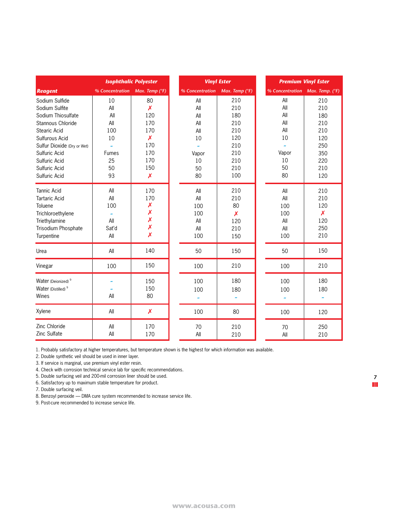|                                                                                                                                  | <b>Isophthalic Polyester</b>                                      |                                                            |                                               | <b>Vinyl Ester</b>                         |                                               | <b>Premium Vinyl Ester</b>                                 |  |
|----------------------------------------------------------------------------------------------------------------------------------|-------------------------------------------------------------------|------------------------------------------------------------|-----------------------------------------------|--------------------------------------------|-----------------------------------------------|------------------------------------------------------------|--|
| <b>Reagent</b>                                                                                                                   | % Concentration                                                   | Max. Temp (°F)                                             | % Concentration                               | Max. Temp (°F)                             | % Concentration                               | Max. Temp. (°F)                                            |  |
| Sodium Sulfide<br>Sodium Sulfite                                                                                                 | 10<br>All                                                         | 80<br>X                                                    | All<br>All                                    | 210<br>210                                 | All<br>All                                    | 210<br>210                                                 |  |
| Sodium Thiosulfate<br>Stannous Chloride<br>Stearic Acid                                                                          | All<br>All<br>100                                                 | 120<br>170<br>170                                          | All<br>All<br>All                             | 180<br>210<br>210                          | All<br>All<br>All<br>10                       | 180<br>210<br>210                                          |  |
| Sulfurous Acid<br>Sulfur Dioxide (Dry or Wet)<br>Sulfuric Acid<br>Sulfuric Acid<br>Sulfuric Acid<br>Sulfuric Acid                | 10<br>$\ddot{ }$<br><b>Fumes</b><br>25<br>50<br>93                | X<br>170<br>170<br>170<br>150<br>$\boldsymbol{\mathsf{x}}$ | 10<br>Vapor<br>10<br>50<br>80                 | 120<br>210<br>210<br>210<br>210<br>100     | Vapor<br>10<br>50<br>80                       | 120<br>250<br>350<br>220<br>210<br>120                     |  |
| <b>Tannic Acid</b><br><b>Tartaric Acid</b><br>Toluene<br>Trichloroethylene<br>Triethylamine<br>Trisodium Phosphate<br>Turpentine | All<br>All<br>100<br>$\tilde{\phantom{a}}$<br>All<br>Sat'd<br>All | 170<br>170<br>X<br>X<br>X<br>X<br>X                        | All<br>All<br>100<br>100<br>All<br>All<br>100 | 210<br>210<br>80<br>X<br>120<br>210<br>150 | All<br>All<br>100<br>100<br>All<br>All<br>100 | 210<br>210<br>120<br>$\boldsymbol{x}$<br>120<br>250<br>210 |  |
| Urea                                                                                                                             | All                                                               | 140                                                        | 50                                            | 150                                        | 50                                            | 150                                                        |  |
| Vinegar                                                                                                                          | 100                                                               | 150                                                        | 100                                           | 210                                        | 100                                           | 210                                                        |  |
| Water (Deionized) <sup>9</sup><br>Water (Distilled) <sup>9</sup><br>Wines                                                        | All                                                               | 150<br>150<br>80                                           | 100<br>100                                    | 180<br>180                                 | 100<br>100                                    | 180<br>180<br>$\tilde{\phantom{a}}$                        |  |
| Xylene                                                                                                                           | All                                                               | X                                                          | 100                                           | 80                                         | 100                                           | 120                                                        |  |
| Zinc Chloride<br>Zinc Sulfate                                                                                                    | All<br>All                                                        | 170<br>170                                                 | 70<br>All                                     | 210<br>210                                 | 70<br>All                                     | 250<br>210                                                 |  |

1. Probably satisfactory at higher temperatures, but temperature shown is the highest for which information was available.

2. Double synthetic veil should be used in inner layer.

3. If service is marginal, use premium vinyl ester resin.

4. Check with corrosion technical service lab for specific recommendations.

5. Double surfacing veil and 200-mil corrosion liner should be used.

6. Satisfactory up to maximum stable temperature for product.

7. Double surfacing veil.

8. Benzoyl peroxide — DMA cure system recommended to increase service life.

9. Post-cure recommended to increase service life.

**7**